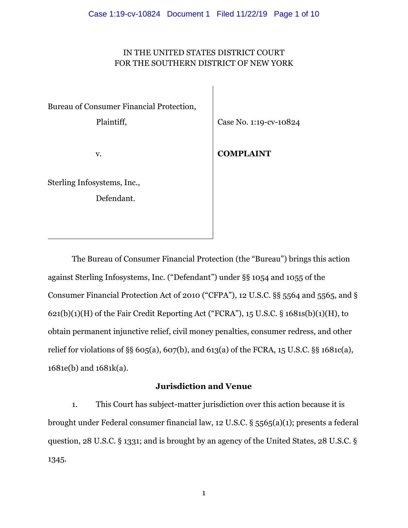# IN THE UNITED STATES DISTRICT COURT FOR THE SOUTHERN DISTRICT OF NEW YORK

Bureau of Consumer Financial Protection,

Plaintiff,

Case No. 1:19-cv-10824

v.

**COMPLAINT**

Sterling Infosystems, Inc., Defendant.

The Bureau of Consumer Financial Protection (the "Bureau") brings this action against Sterling Infosystems, Inc. ("Defendant") under §§ 1054 and 1055 of the Consumer Financial Protection Act of 2010 ("CFPA"), 12 U.S.C. §§ 5564 and 5565, and §  $621(b)(1)(H)$  of the Fair Credit Reporting Act ("FCRA"), 15 U.S.C. §  $1681s(b)(1)(H)$ , to obtain permanent injunctive relief, civil money penalties, consumer redress, and other relief for violations of §§ 605(a), 607(b), and 613(a) of the FCRA, 15 U.S.C. §§ 1681c(a), 1681e(b) and 1681k(a).

# **Jurisdiction and Venue**

1. This Court has subject-matter jurisdiction over this action because it is brought under Federal consumer financial law, 12 U.S.C. § 5565(a)(1); presents a federal question, 28 U.S.C. § 1331; and is brought by an agency of the United States, 28 U.S.C. § 1345.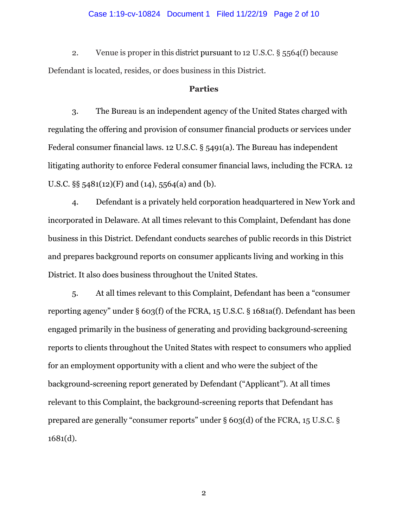#### Case 1:19-cv-10824 Document 1 Filed 11/22/19 Page 2 of 10

2. Venue is proper in this district pursuant to 12 U.S.C. § 5564(f) because Defendant is located, resides, or does business in this District.

## **Parties**

3. The Bureau is an independent agency of the United States charged with regulating the offering and provision of consumer financial products or services under Federal consumer financial laws. 12 U.S.C. § 5491(a). The Bureau has independent litigating authority to enforce Federal consumer financial laws, including the FCRA. 12 U.S.C. §§ 5481(12)(F) and (14), 5564(a) and (b).

4. Defendant is a privately held corporation headquartered in New York and incorporated in Delaware. At all times relevant to this Complaint, Defendant has done business in this District. Defendant conducts searches of public records in this District and prepares background reports on consumer applicants living and working in this District. It also does business throughout the United States.

5. At all times relevant to this Complaint, Defendant has been a "consumer reporting agency" under § 603(f) of the FCRA, 15 U.S.C. § 1681a(f). Defendant has been engaged primarily in the business of generating and providing background-screening reports to clients throughout the United States with respect to consumers who applied for an employment opportunity with a client and who were the subject of the background-screening report generated by Defendant ("Applicant"). At all times relevant to this Complaint, the background-screening reports that Defendant has prepared are generally "consumer reports" under § 603(d) of the FCRA, 15 U.S.C. § 1681(d).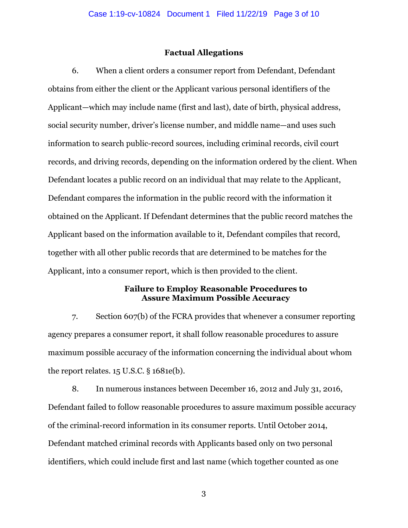## **Factual Allegations**

6. When a client orders a consumer report from Defendant, Defendant obtains from either the client or the Applicant various personal identifiers of the Applicant—which may include name (first and last), date of birth, physical address, social security number, driver's license number, and middle name—and uses such information to search public-record sources, including criminal records, civil court records, and driving records, depending on the information ordered by the client. When Defendant locates a public record on an individual that may relate to the Applicant, Defendant compares the information in the public record with the information it obtained on the Applicant. If Defendant determines that the public record matches the Applicant based on the information available to it, Defendant compiles that record, together with all other public records that are determined to be matches for the Applicant, into a consumer report, which is then provided to the client.

## **Failure to Employ Reasonable Procedures to Assure Maximum Possible Accuracy**

7. Section 607(b) of the FCRA provides that whenever a consumer reporting agency prepares a consumer report, it shall follow reasonable procedures to assure maximum possible accuracy of the information concerning the individual about whom the report relates.  $15$  U.S.C.  $\S$  1681e(b).

8. In numerous instances between December 16, 2012 and July 31, 2016, Defendant failed to follow reasonable procedures to assure maximum possible accuracy of the criminal-record information in its consumer reports. Until October 2014, Defendant matched criminal records with Applicants based only on two personal identifiers, which could include first and last name (which together counted as one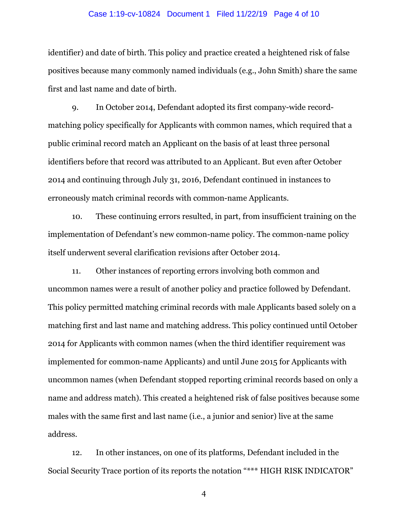#### Case 1:19-cv-10824 Document 1 Filed 11/22/19 Page 4 of 10

identifier) and date of birth. This policy and practice created a heightened risk of false positives because many commonly named individuals (e.g., John Smith) share the same first and last name and date of birth.

9. In October 2014, Defendant adopted its first company-wide recordmatching policy specifically for Applicants with common names, which required that a public criminal record match an Applicant on the basis of at least three personal identifiers before that record was attributed to an Applicant. But even after October 2014 and continuing through July 31, 2016, Defendant continued in instances to erroneously match criminal records with common-name Applicants.

10. These continuing errors resulted, in part, from insufficient training on the implementation of Defendant's new common-name policy. The common-name policy itself underwent several clarification revisions after October 2014.

11. Other instances of reporting errors involving both common and uncommon names were a result of another policy and practice followed by Defendant. This policy permitted matching criminal records with male Applicants based solely on a matching first and last name and matching address. This policy continued until October 2014 for Applicants with common names (when the third identifier requirement was implemented for common-name Applicants) and until June 2015 for Applicants with uncommon names (when Defendant stopped reporting criminal records based on only a name and address match). This created a heightened risk of false positives because some males with the same first and last name (i.e., a junior and senior) live at the same address.

12. In other instances, on one of its platforms, Defendant included in the Social Security Trace portion of its reports the notation "\*\*\* HIGH RISK INDICATOR"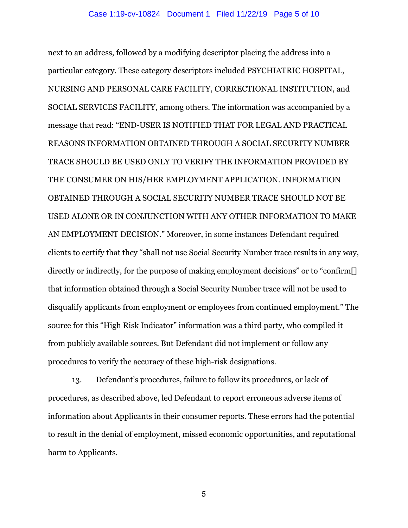next to an address, followed by a modifying descriptor placing the address into a particular category. These category descriptors included PSYCHIATRIC HOSPITAL, NURSING AND PERSONAL CARE FACILITY, CORRECTIONAL INSTITUTION, and SOCIAL SERVICES FACILITY, among others. The information was accompanied by a message that read: "END-USER IS NOTIFIED THAT FOR LEGAL AND PRACTICAL REASONS INFORMATION OBTAINED THROUGH A SOCIAL SECURITY NUMBER TRACE SHOULD BE USED ONLY TO VERIFY THE INFORMATION PROVIDED BY THE CONSUMER ON HIS/HER EMPLOYMENT APPLICATION. INFORMATION OBTAINED THROUGH A SOCIAL SECURITY NUMBER TRACE SHOULD NOT BE USED ALONE OR IN CONJUNCTION WITH ANY OTHER INFORMATION TO MAKE AN EMPLOYMENT DECISION." Moreover, in some instances Defendant required clients to certify that they "shall not use Social Security Number trace results in any way, directly or indirectly, for the purpose of making employment decisions" or to "confirm[] that information obtained through a Social Security Number trace will not be used to disqualify applicants from employment or employees from continued employment." The source for this "High Risk Indicator" information was a third party, who compiled it from publicly available sources. But Defendant did not implement or follow any procedures to verify the accuracy of these high-risk designations.

13. Defendant's procedures, failure to follow its procedures, or lack of procedures, as described above, led Defendant to report erroneous adverse items of information about Applicants in their consumer reports. These errors had the potential to result in the denial of employment, missed economic opportunities, and reputational harm to Applicants.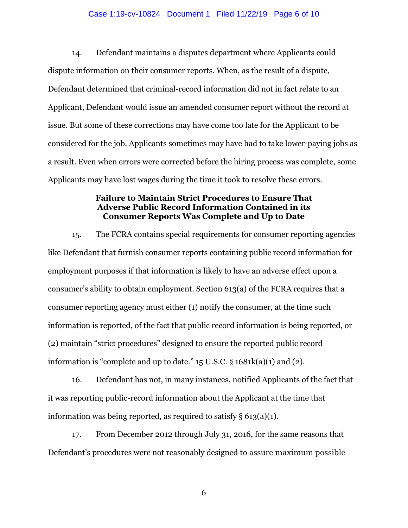#### Case 1:19-cv-10824 Document 1 Filed 11/22/19 Page 6 of 10

14. Defendant maintains a disputes department where Applicants could dispute information on their consumer reports. When, as the result of a dispute, Defendant determined that criminal-record information did not in fact relate to an Applicant, Defendant would issue an amended consumer report without the record at issue. But some of these corrections may have come too late for the Applicant to be considered for the job. Applicants sometimes may have had to take lower-paying jobs as a result. Even when errors were corrected before the hiring process was complete, some Applicants may have lost wages during the time it took to resolve these errors.

# **Failure to Maintain Strict Procedures to Ensure That Adverse Public Record Information Contained in its Consumer Reports Was Complete and Up to Date**

15. The FCRA contains special requirements for consumer reporting agencies like Defendant that furnish consumer reports containing public record information for employment purposes if that information is likely to have an adverse effect upon a consumer's ability to obtain employment. Section 613(a) of the FCRA requires that a consumer reporting agency must either (1) notify the consumer, at the time such information is reported, of the fact that public record information is being reported, or (2) maintain "strict procedures" designed to ensure the reported public record information is "complete and up to date."  $15$  U.S.C. §  $1681k(a)(1)$  and  $(2)$ .

16. Defendant has not, in many instances, notified Applicants of the fact that it was reporting public-record information about the Applicant at the time that information was being reported, as required to satisfy  $\S 613(a)(1)$ .

17. From December 2012 through July 31, 2016, for the same reasons that Defendant's procedures were not reasonably designed to assure maximum possible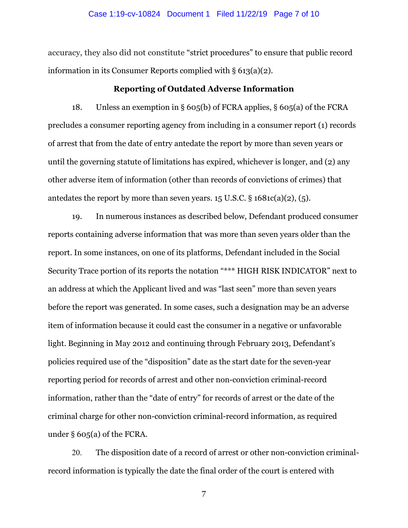accuracy, they also did not constitute "strict procedures" to ensure that public record information in its Consumer Reports complied with § 613(a)(2).

### **Reporting of Outdated Adverse Information**

18. Unless an exemption in § 605(b) of FCRA applies, § 605(a) of the FCRA precludes a consumer reporting agency from including in a consumer report (1) records of arrest that from the date of entry antedate the report by more than seven years or until the governing statute of limitations has expired, whichever is longer, and (2) any other adverse item of information (other than records of convictions of crimes) that antedates the report by more than seven years.  $15 \text{ U.S.C.}$  §  $1681c(a)(2)$ , (5).

19. In numerous instances as described below, Defendant produced consumer reports containing adverse information that was more than seven years older than the report. In some instances, on one of its platforms, Defendant included in the Social Security Trace portion of its reports the notation "\*\*\* HIGH RISK INDICATOR" next to an address at which the Applicant lived and was "last seen" more than seven years before the report was generated. In some cases, such a designation may be an adverse item of information because it could cast the consumer in a negative or unfavorable light. Beginning in May 2012 and continuing through February 2013, Defendant's policies required use of the "disposition" date as the start date for the seven-year reporting period for records of arrest and other non-conviction criminal-record information, rather than the "date of entry" for records of arrest or the date of the criminal charge for other non-conviction criminal-record information, as required under § 605(a) of the FCRA.

20. The disposition date of a record of arrest or other non-conviction criminalrecord information is typically the date the final order of the court is entered with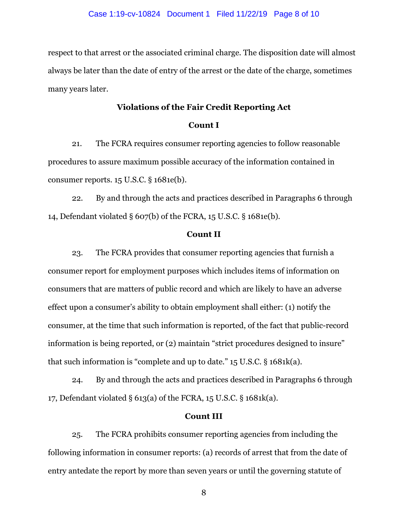respect to that arrest or the associated criminal charge. The disposition date will almost always be later than the date of entry of the arrest or the date of the charge, sometimes many years later.

# **Violations of the Fair Credit Reporting Act**

### **Count I**

21. The FCRA requires consumer reporting agencies to follow reasonable procedures to assure maximum possible accuracy of the information contained in consumer reports. 15 U.S.C. § 1681e(b).

22. By and through the acts and practices described in Paragraphs 6 through 14, Defendant violated § 607(b) of the FCRA, 15 U.S.C. § 1681e(b).

### **Count II**

23. The FCRA provides that consumer reporting agencies that furnish a consumer report for employment purposes which includes items of information on consumers that are matters of public record and which are likely to have an adverse effect upon a consumer's ability to obtain employment shall either: (1) notify the consumer, at the time that such information is reported, of the fact that public-record information is being reported, or (2) maintain "strict procedures designed to insure" that such information is "complete and up to date." 15 U.S.C. § 1681k(a).

24. By and through the acts and practices described in Paragraphs 6 through 17, Defendant violated § 613(a) of the FCRA, 15 U.S.C. § 1681k(a).

#### **Count III**

25. The FCRA prohibits consumer reporting agencies from including the following information in consumer reports: (a) records of arrest that from the date of entry antedate the report by more than seven years or until the governing statute of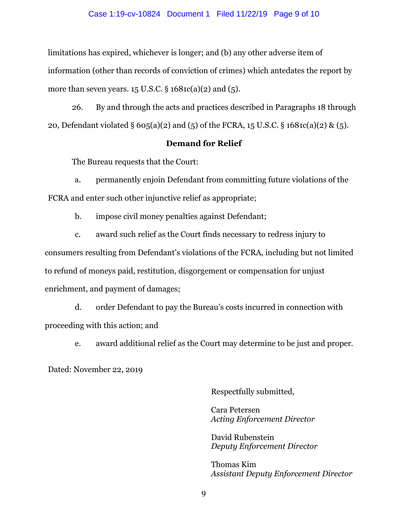#### Case 1:19-cv-10824 Document 1 Filed 11/22/19 Page 9 of 10

limitations has expired, whichever is longer; and (b) any other adverse item of information (other than records of conviction of crimes) which antedates the report by more than seven years.  $15$  U.S.C.  $\S 1681c(a)(2)$  and  $(5)$ .

26. By and through the acts and practices described in Paragraphs 18 through 20, Defendant violated § 605(a)(2) and (5) of the FCRA, 15 U.S.C. § 1681c(a)(2) & (5).

## **Demand for Relief**

The Bureau requests that the Court:

a. permanently enjoin Defendant from committing future violations of the FCRA and enter such other injunctive relief as appropriate;

b. impose civil money penalties against Defendant;

c. award such relief as the Court finds necessary to redress injury to consumers resulting from Defendant's violations of the FCRA, including but not limited to refund of moneys paid, restitution, disgorgement or compensation for unjust enrichment, and payment of damages;

d. order Defendant to pay the Bureau's costs incurred in connection with proceeding with this action; and

e. award additional relief as the Court may determine to be just and proper.

Dated: November 22, 2019

Respectfully submitted,

Cara Petersen *Acting Enforcement Director*

David Rubenstein *Deputy Enforcement Director* 

Thomas Kim *Assistant Deputy Enforcement Director*